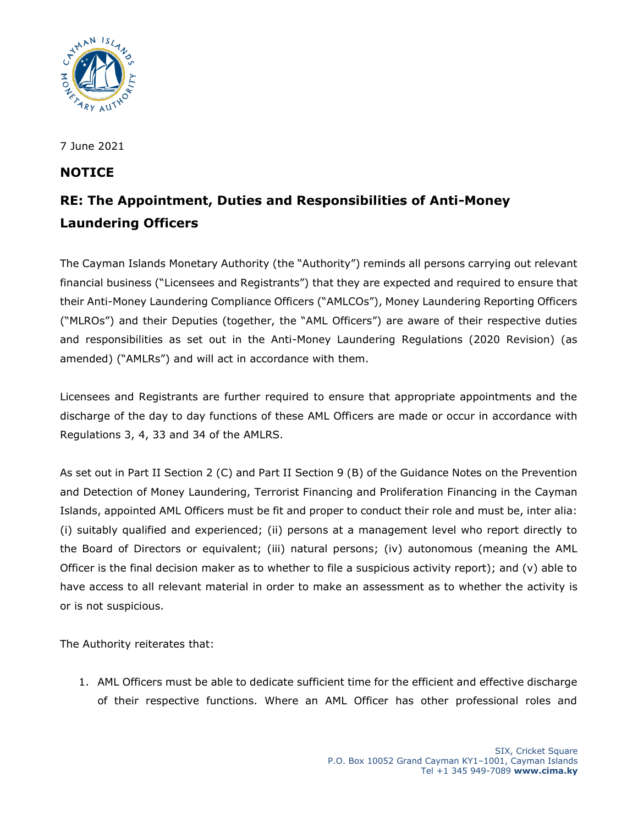

7 June 2021

## **NOTICE**

## **RE: The Appointment, Duties and Responsibilities of Anti-Money Laundering Officers**

The Cayman Islands Monetary Authority (the "Authority") reminds all persons carrying out relevant financial business ("Licensees and Registrants") that they are expected and required to ensure that their Anti-Money Laundering Compliance Officers ("AMLCOs"), Money Laundering Reporting Officers ("MLROs") and their Deputies (together, the "AML Officers") are aware of their respective duties and responsibilities as set out in the Anti-Money Laundering Regulations (2020 Revision) (as amended) ("AMLRs") and will act in accordance with them.

Licensees and Registrants are further required to ensure that appropriate appointments and the discharge of the day to day functions of these AML Officers are made or occur in accordance with Regulations 3, 4, 33 and 34 of the AMLRS.

As set out in Part II Section 2 (C) and Part II Section 9 (B) of the Guidance Notes on the Prevention and Detection of Money Laundering, Terrorist Financing and Proliferation Financing in the Cayman Islands, appointed AML Officers must be fit and proper to conduct their role and must be, inter alia: (i) suitably qualified and experienced; (ii) persons at a management level who report directly to the Board of Directors or equivalent; (iii) natural persons; (iv) autonomous (meaning the AML Officer is the final decision maker as to whether to file a suspicious activity report); and (v) able to have access to all relevant material in order to make an assessment as to whether the activity is or is not suspicious.

The Authority reiterates that:

1. AML Officers must be able to dedicate sufficient time for the efficient and effective discharge of their respective functions. Where an AML Officer has other professional roles and